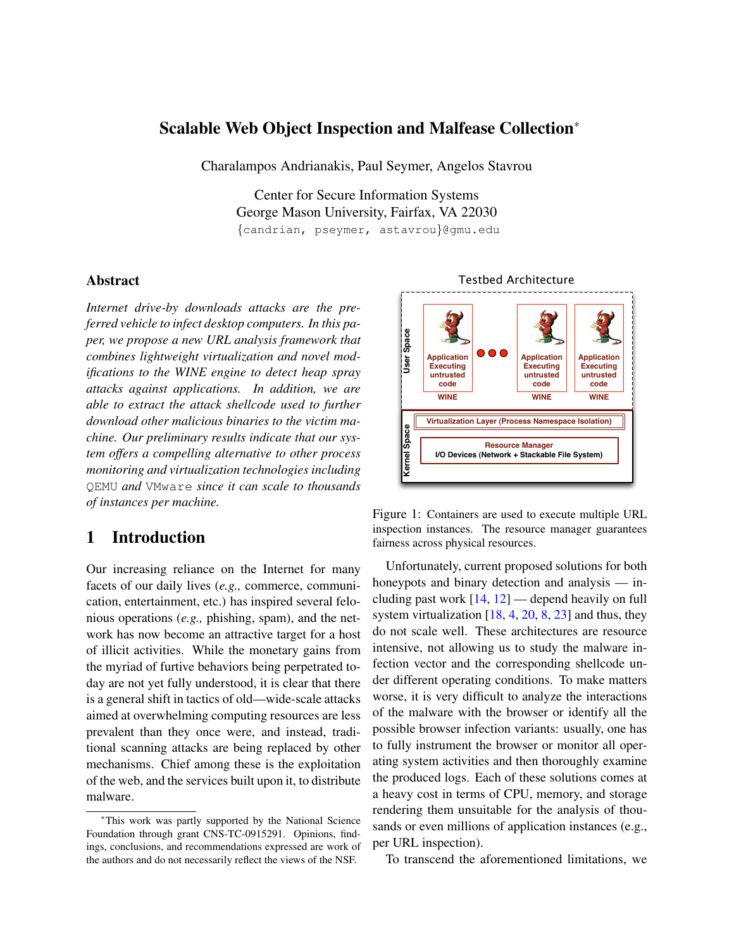### Scalable Web Object Inspection and Malfease Collection<sup>∗</sup>

Charalampos Andrianakis, Paul Seymer, Angelos Stavrou

Center for Secure Information Systems George Mason University, Fairfax, VA 22030 {candrian, pseymer, astavrou}@gmu.edu

#### Abstract

*Internet drive-by downloads attacks are the preferred vehicle to infect desktop computers. In this paper, we propose a new URL analysis framework that combines lightweight virtualization and novel modifications to the WINE engine to detect heap spray attacks against applications. In addition, we are able to extract the attack shellcode used to further download other malicious binaries to the victim machine. Our preliminary results indicate that our system offers a compelling alternative to other process monitoring and virtualization technologies including* QEMU *and* VMware *since it can scale to thousands of instances per machine.*

# 1 Introduction

Our increasing reliance on the Internet for many facets of our daily lives (*e.g.,* commerce, communication, entertainment, etc.) has inspired several felonious operations (*e.g.,* phishing, spam), and the network has now become an attractive target for a host of illicit activities. While the monetary gains from the myriad of furtive behaviors being perpetrated today are not yet fully understood, it is clear that there is a general shift in tactics of old—wide-scale attacks aimed at overwhelming computing resources are less prevalent than they once were, and instead, traditional scanning attacks are being replaced by other mechanisms. Chief among these is the exploitation of the web, and the services built upon it, to distribute malware.



<span id="page-0-0"></span>Figure 1: Containers are used to execute multiple URL inspection instances. The resource manager guarantees fairness across physical resources.

Unfortunately, current proposed solutions for both honeypots and binary detection and analysis — including past work  $[14, 12]$  $[14, 12]$  $[14, 12]$  — depend heavily on full system virtualization  $[18, 4, 20, 8, 23]$  $[18, 4, 20, 8, 23]$  $[18, 4, 20, 8, 23]$  $[18, 4, 20, 8, 23]$  $[18, 4, 20, 8, 23]$  $[18, 4, 20, 8, 23]$  $[18, 4, 20, 8, 23]$  $[18, 4, 20, 8, 23]$  $[18, 4, 20, 8, 23]$  and thus, they do not scale well. These architectures are resource intensive, not allowing us to study the malware infection vector and the corresponding shellcode under different operating conditions. To make matters worse, it is very difficult to analyze the interactions of the malware with the browser or identify all the possible browser infection variants: usually, one has to fully instrument the browser or monitor all operating system activities and then thoroughly examine the produced logs. Each of these solutions comes at a heavy cost in terms of CPU, memory, and storage rendering them unsuitable for the analysis of thousands or even millions of application instances (e.g., per URL inspection).

To transcend the aforementioned limitations, we

<sup>∗</sup>This work was partly supported by the National Science Foundation through grant CNS-TC-0915291. Opinions, findings, conclusions, and recommendations expressed are work of the authors and do not necessarily reflect the views of the NSF.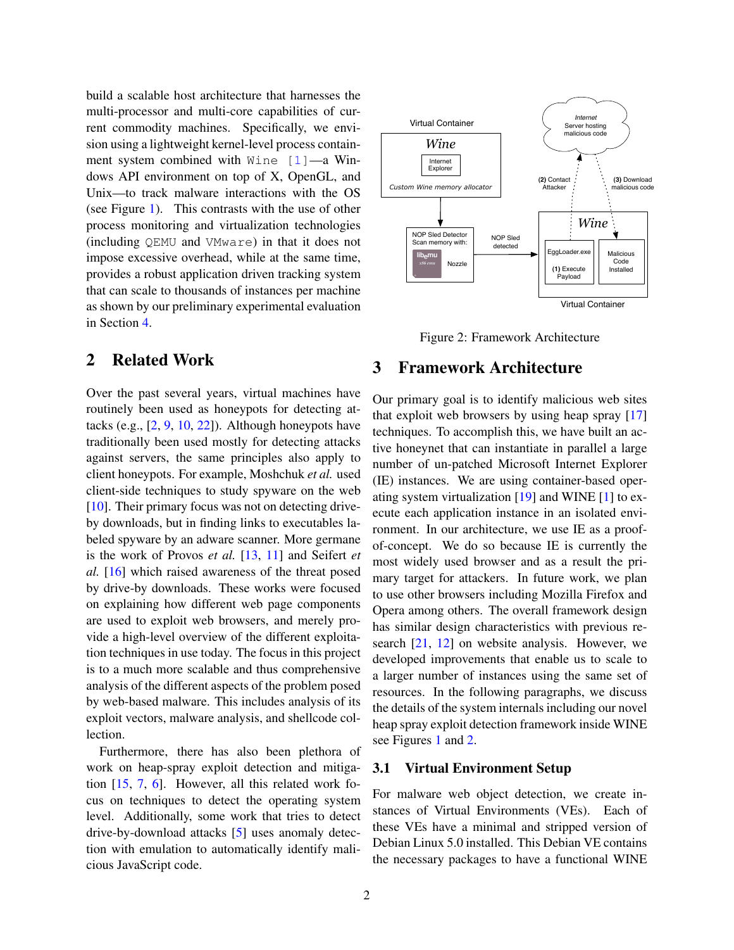build a scalable host architecture that harnesses the multi-processor and multi-core capabilities of current commodity machines. Specifically, we envision using a lightweight kernel-level process containment system combined with  $Wine [1]$  $Wine [1]$ —a Windows API environment on top of X, OpenGL, and Unix—to track malware interactions with the OS (see Figure [1\)](#page-0-0). This contrasts with the use of other process monitoring and virtualization technologies (including QEMU and VMware) in that it does not impose excessive overhead, while at the same time, provides a robust application driven tracking system that can scale to thousands of instances per machine as shown by our preliminary experimental evaluation in Section [4.](#page-3-0)

# 2 Related Work

Over the past several years, virtual machines have routinely been used as honeypots for detecting attacks (e.g.,  $[2, 9, 10, 22]$  $[2, 9, 10, 22]$  $[2, 9, 10, 22]$  $[2, 9, 10, 22]$  $[2, 9, 10, 22]$  $[2, 9, 10, 22]$  $[2, 9, 10, 22]$ ). Although honeypots have traditionally been used mostly for detecting attacks against servers, the same principles also apply to client honeypots. For example, Moshchuk *et al.* used client-side techniques to study spyware on the web [\[10\]](#page-5-10). Their primary focus was not on detecting driveby downloads, but in finding links to executables labeled spyware by an adware scanner. More germane is the work of Provos *et al.* [\[13,](#page-5-12) [11\]](#page-5-13) and Seifert *et al.* [\[16\]](#page-5-14) which raised awareness of the threat posed by drive-by downloads. These works were focused on explaining how different web page components are used to exploit web browsers, and merely provide a high-level overview of the different exploitation techniques in use today. The focus in this project is to a much more scalable and thus comprehensive analysis of the different aspects of the problem posed by web-based malware. This includes analysis of its exploit vectors, malware analysis, and shellcode collection.

Furthermore, there has also been plethora of work on heap-spray exploit detection and mitigation [\[15,](#page-5-15) [7,](#page-5-16) [6\]](#page-5-17). However, all this related work focus on techniques to detect the operating system level. Additionally, some work that tries to detect drive-by-download attacks [\[5\]](#page-5-18) uses anomaly detection with emulation to automatically identify malicious JavaScript code.



<span id="page-1-0"></span>Figure 2: Framework Architecture

# 3 Framework Architecture

Our primary goal is to identify malicious web sites that exploit web browsers by using heap spray [\[17\]](#page-5-19) techniques. To accomplish this, we have built an active honeynet that can instantiate in parallel a large number of un-patched Microsoft Internet Explorer (IE) instances. We are using container-based operating system virtualization [\[19\]](#page-5-20) and WINE [\[1\]](#page-5-7) to execute each application instance in an isolated environment. In our architecture, we use IE as a proofof-concept. We do so because IE is currently the most widely used browser and as a result the primary target for attackers. In future work, we plan to use other browsers including Mozilla Firefox and Opera among others. The overall framework design has similar design characteristics with previous research [\[21,](#page-5-21) [12\]](#page-5-1) on website analysis. However, we developed improvements that enable us to scale to a larger number of instances using the same set of resources. In the following paragraphs, we discuss the details of the system internals including our novel heap spray exploit detection framework inside WINE see Figures [1](#page-0-0) and [2.](#page-1-0)

### 3.1 Virtual Environment Setup

For malware web object detection, we create instances of Virtual Environments (VEs). Each of these VEs have a minimal and stripped version of Debian Linux 5.0 installed. This Debian VE contains the necessary packages to have a functional WINE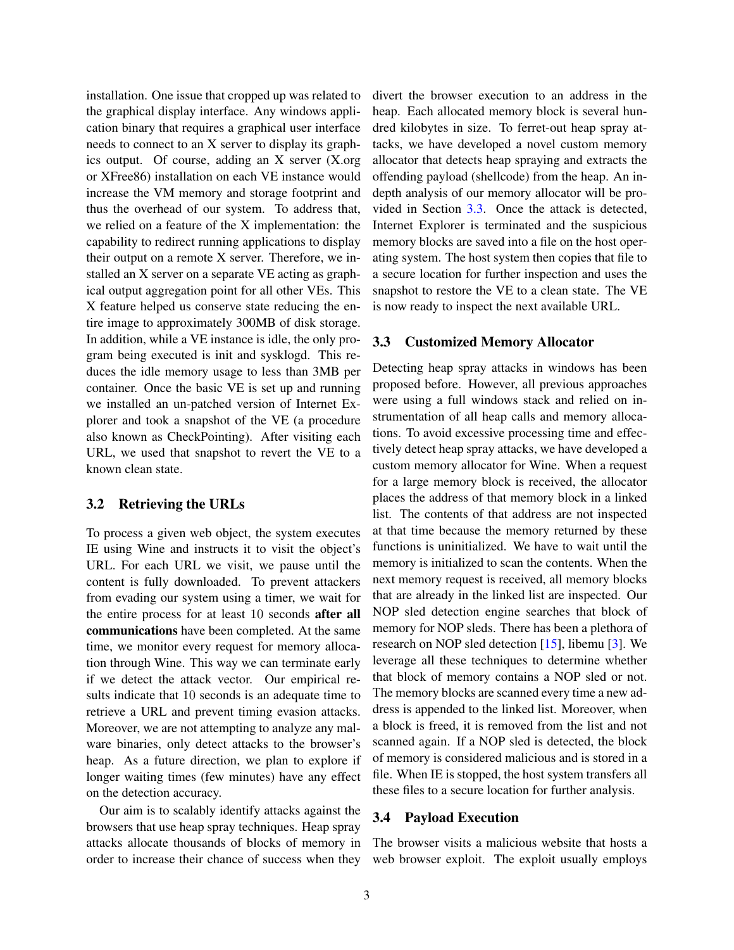installation. One issue that cropped up was related to the graphical display interface. Any windows application binary that requires a graphical user interface needs to connect to an X server to display its graphics output. Of course, adding an X server (X.org or XFree86) installation on each VE instance would increase the VM memory and storage footprint and thus the overhead of our system. To address that, we relied on a feature of the X implementation: the capability to redirect running applications to display their output on a remote X server. Therefore, we installed an X server on a separate VE acting as graphical output aggregation point for all other VEs. This X feature helped us conserve state reducing the entire image to approximately 300MB of disk storage. In addition, while a VE instance is idle, the only program being executed is init and sysklogd. This reduces the idle memory usage to less than 3MB per container. Once the basic VE is set up and running we installed an un-patched version of Internet Explorer and took a snapshot of the VE (a procedure also known as CheckPointing). After visiting each URL, we used that snapshot to revert the VE to a known clean state.

### 3.2 Retrieving the URLs

To process a given web object, the system executes IE using Wine and instructs it to visit the object's URL. For each URL we visit, we pause until the content is fully downloaded. To prevent attackers from evading our system using a timer, we wait for the entire process for at least 10 seconds after all communications have been completed. At the same time, we monitor every request for memory allocation through Wine. This way we can terminate early if we detect the attack vector. Our empirical results indicate that 10 seconds is an adequate time to retrieve a URL and prevent timing evasion attacks. Moreover, we are not attempting to analyze any malware binaries, only detect attacks to the browser's heap. As a future direction, we plan to explore if longer waiting times (few minutes) have any effect on the detection accuracy.

Our aim is to scalably identify attacks against the browsers that use heap spray techniques. Heap spray attacks allocate thousands of blocks of memory in order to increase their chance of success when they divert the browser execution to an address in the heap. Each allocated memory block is several hundred kilobytes in size. To ferret-out heap spray attacks, we have developed a novel custom memory allocator that detects heap spraying and extracts the offending payload (shellcode) from the heap. An indepth analysis of our memory allocator will be provided in Section [3.3.](#page-2-0) Once the attack is detected, Internet Explorer is terminated and the suspicious memory blocks are saved into a file on the host operating system. The host system then copies that file to a secure location for further inspection and uses the snapshot to restore the VE to a clean state. The VE is now ready to inspect the next available URL.

### <span id="page-2-0"></span>3.3 Customized Memory Allocator

Detecting heap spray attacks in windows has been proposed before. However, all previous approaches were using a full windows stack and relied on instrumentation of all heap calls and memory allocations. To avoid excessive processing time and effectively detect heap spray attacks, we have developed a custom memory allocator for Wine. When a request for a large memory block is received, the allocator places the address of that memory block in a linked list. The contents of that address are not inspected at that time because the memory returned by these functions is uninitialized. We have to wait until the memory is initialized to scan the contents. When the next memory request is received, all memory blocks that are already in the linked list are inspected. Our NOP sled detection engine searches that block of memory for NOP sleds. There has been a plethora of research on NOP sled detection [\[15\]](#page-5-15), libemu [\[3\]](#page-5-22). We leverage all these techniques to determine whether that block of memory contains a NOP sled or not. The memory blocks are scanned every time a new address is appended to the linked list. Moreover, when a block is freed, it is removed from the list and not scanned again. If a NOP sled is detected, the block of memory is considered malicious and is stored in a file. When IE is stopped, the host system transfers all these files to a secure location for further analysis.

## 3.4 Payload Execution

The browser visits a malicious website that hosts a web browser exploit. The exploit usually employs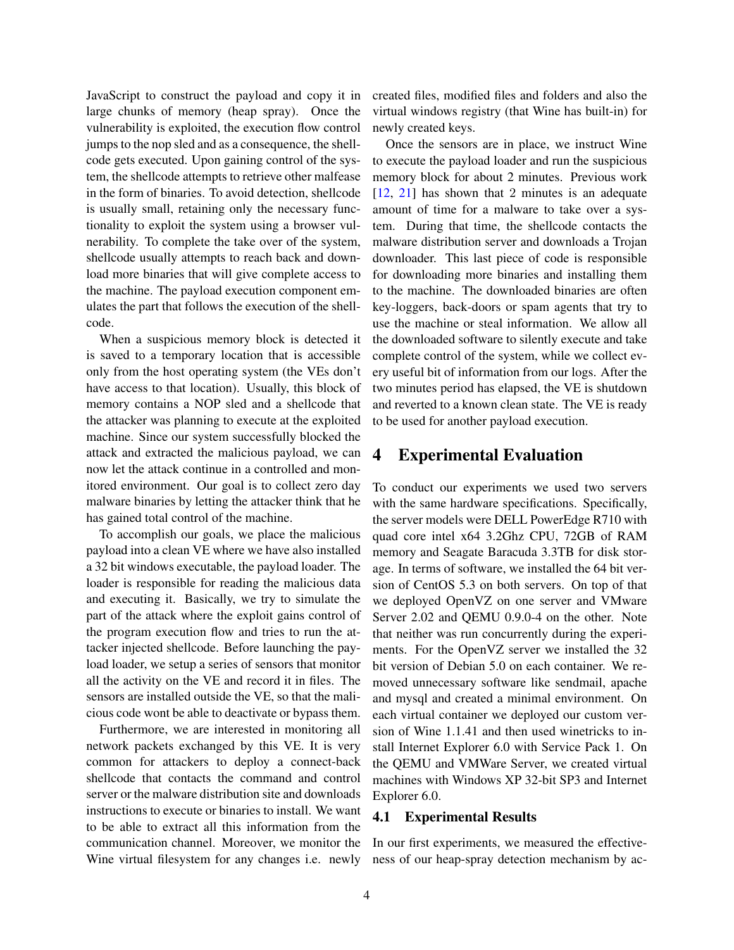JavaScript to construct the payload and copy it in large chunks of memory (heap spray). Once the vulnerability is exploited, the execution flow control jumps to the nop sled and as a consequence, the shellcode gets executed. Upon gaining control of the system, the shellcode attempts to retrieve other malfease in the form of binaries. To avoid detection, shellcode is usually small, retaining only the necessary functionality to exploit the system using a browser vulnerability. To complete the take over of the system, shellcode usually attempts to reach back and download more binaries that will give complete access to the machine. The payload execution component emulates the part that follows the execution of the shellcode.

When a suspicious memory block is detected it is saved to a temporary location that is accessible only from the host operating system (the VEs don't have access to that location). Usually, this block of memory contains a NOP sled and a shellcode that the attacker was planning to execute at the exploited machine. Since our system successfully blocked the attack and extracted the malicious payload, we can now let the attack continue in a controlled and monitored environment. Our goal is to collect zero day malware binaries by letting the attacker think that he has gained total control of the machine.

To accomplish our goals, we place the malicious payload into a clean VE where we have also installed a 32 bit windows executable, the payload loader. The loader is responsible for reading the malicious data and executing it. Basically, we try to simulate the part of the attack where the exploit gains control of the program execution flow and tries to run the attacker injected shellcode. Before launching the payload loader, we setup a series of sensors that monitor all the activity on the VE and record it in files. The sensors are installed outside the VE, so that the malicious code wont be able to deactivate or bypass them.

Furthermore, we are interested in monitoring all network packets exchanged by this VE. It is very common for attackers to deploy a connect-back shellcode that contacts the command and control server or the malware distribution site and downloads instructions to execute or binaries to install. We want to be able to extract all this information from the communication channel. Moreover, we monitor the Wine virtual filesystem for any changes i.e. newly created files, modified files and folders and also the virtual windows registry (that Wine has built-in) for newly created keys.

Once the sensors are in place, we instruct Wine to execute the payload loader and run the suspicious memory block for about 2 minutes. Previous work [\[12,](#page-5-1) [21\]](#page-5-21) has shown that 2 minutes is an adequate amount of time for a malware to take over a system. During that time, the shellcode contacts the malware distribution server and downloads a Trojan downloader. This last piece of code is responsible for downloading more binaries and installing them to the machine. The downloaded binaries are often key-loggers, back-doors or spam agents that try to use the machine or steal information. We allow all the downloaded software to silently execute and take complete control of the system, while we collect every useful bit of information from our logs. After the two minutes period has elapsed, the VE is shutdown and reverted to a known clean state. The VE is ready to be used for another payload execution.

## <span id="page-3-0"></span>4 Experimental Evaluation

To conduct our experiments we used two servers with the same hardware specifications. Specifically, the server models were DELL PowerEdge R710 with quad core intel x64 3.2Ghz CPU, 72GB of RAM memory and Seagate Baracuda 3.3TB for disk storage. In terms of software, we installed the 64 bit version of CentOS 5.3 on both servers. On top of that we deployed OpenVZ on one server and VMware Server 2.02 and QEMU 0.9.0-4 on the other. Note that neither was run concurrently during the experiments. For the OpenVZ server we installed the 32 bit version of Debian 5.0 on each container. We removed unnecessary software like sendmail, apache and mysql and created a minimal environment. On each virtual container we deployed our custom version of Wine 1.1.41 and then used winetricks to install Internet Explorer 6.0 with Service Pack 1. On the QEMU and VMWare Server, we created virtual machines with Windows XP 32-bit SP3 and Internet Explorer 6.0.

### 4.1 Experimental Results

In our first experiments, we measured the effectiveness of our heap-spray detection mechanism by ac-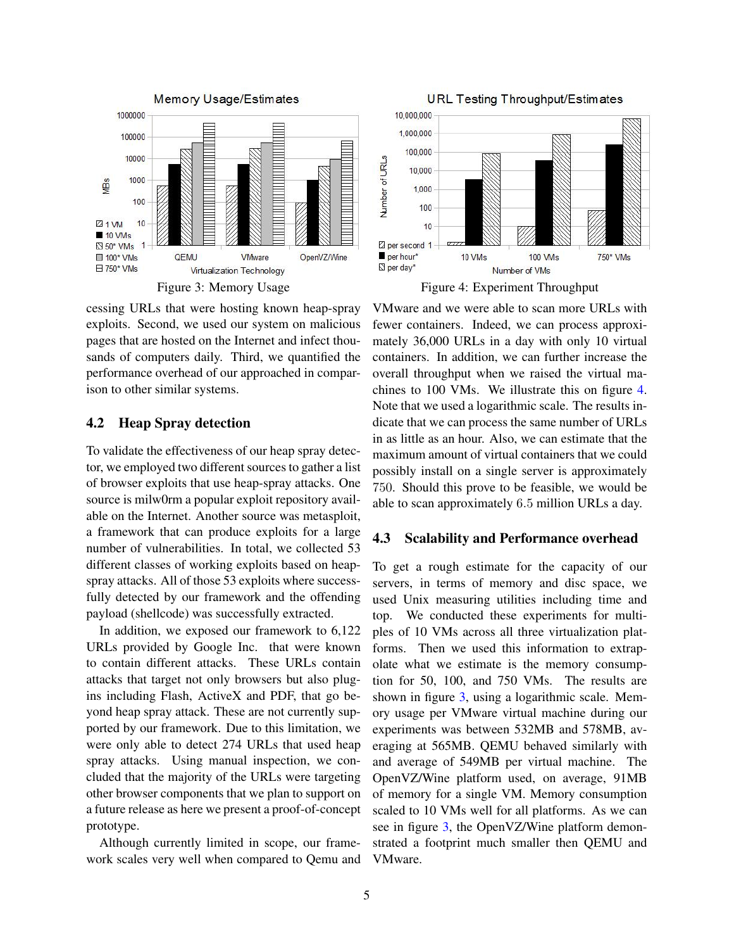

<span id="page-4-1"></span>cessing URLs that were hosting known heap-spray exploits. Second, we used our system on malicious pages that are hosted on the Internet and infect thousands of computers daily. Third, we quantified the performance overhead of our approached in comparison to other similar systems.

### 4.2 Heap Spray detection

To validate the effectiveness of our heap spray detector, we employed two different sources to gather a list of browser exploits that use heap-spray attacks. One source is milw0rm a popular exploit repository available on the Internet. Another source was metasploit, a framework that can produce exploits for a large number of vulnerabilities. In total, we collected 53 different classes of working exploits based on heapspray attacks. All of those 53 exploits where successfully detected by our framework and the offending payload (shellcode) was successfully extracted.

In addition, we exposed our framework to 6,122 URLs provided by Google Inc. that were known to contain different attacks. These URLs contain attacks that target not only browsers but also plugins including Flash, ActiveX and PDF, that go beyond heap spray attack. These are not currently supported by our framework. Due to this limitation, we were only able to detect 274 URLs that used heap spray attacks. Using manual inspection, we concluded that the majority of the URLs were targeting other browser components that we plan to support on a future release as here we present a proof-of-concept prototype.

Although currently limited in scope, our framework scales very well when compared to Qemu and



<span id="page-4-0"></span>Figure 4: Experiment Throughput

VMware and we were able to scan more URLs with fewer containers. Indeed, we can process approximately 36,000 URLs in a day with only 10 virtual containers. In addition, we can further increase the overall throughput when we raised the virtual machines to 100 VMs. We illustrate this on figure [4.](#page-4-0) Note that we used a logarithmic scale. The results indicate that we can process the same number of URLs in as little as an hour. Also, we can estimate that the maximum amount of virtual containers that we could possibly install on a single server is approximately 750. Should this prove to be feasible, we would be able to scan approximately 6.5 million URLs a day.

#### 4.3 Scalability and Performance overhead

To get a rough estimate for the capacity of our servers, in terms of memory and disc space, we used Unix measuring utilities including time and top. We conducted these experiments for multiples of 10 VMs across all three virtualization platforms. Then we used this information to extrapolate what we estimate is the memory consumption for 50, 100, and 750 VMs. The results are shown in figure [3,](#page-4-1) using a logarithmic scale. Memory usage per VMware virtual machine during our experiments was between 532MB and 578MB, averaging at 565MB. QEMU behaved similarly with and average of 549MB per virtual machine. The OpenVZ/Wine platform used, on average, 91MB of memory for a single VM. Memory consumption scaled to 10 VMs well for all platforms. As we can see in figure [3,](#page-4-1) the OpenVZ/Wine platform demonstrated a footprint much smaller then QEMU and VMware.